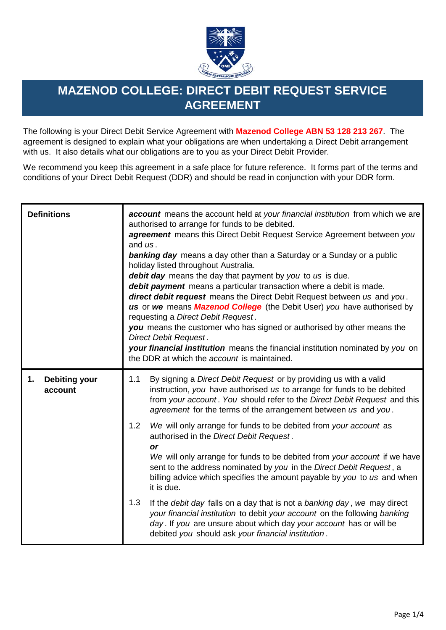

## **MAZENOD COLLEGE: DIRECT DEBIT REQUEST SERVICE AGREEMENT**

The following is your Direct Debit Service Agreement with **Mazenod College ABN 53 128 213 267**. The agreement is designed to explain what your obligations are when undertaking a Direct Debit arrangement with us. It also details what our obligations are to you as your Direct Debit Provider.

We recommend you keep this agreement in a safe place for future reference. It forms part of the terms and conditions of your Direct Debit Request (DDR) and should be read in conjunction with your DDR form.

| <b>Definitions</b>                    | account means the account held at your financial institution from which we are<br>authorised to arrange for funds to be debited.<br><b>agreement</b> means this Direct Debit Request Service Agreement between you<br>and $\iota$ s.<br><b>banking day</b> means a day other than a Saturday or a Sunday or a public<br>holiday listed throughout Australia.<br>debit day means the day that payment by you to us is due.<br>debit payment means a particular transaction where a debit is made.<br>direct debit request means the Direct Debit Request between us and you.<br>us or we means Mazenod College (the Debit User) you have authorised by<br>requesting a Direct Debit Request.<br>you means the customer who has signed or authorised by other means the<br>Direct Debit Request.<br>your financial institution means the financial institution nominated by you on<br>the DDR at which the account is maintained. |  |
|---------------------------------------|---------------------------------------------------------------------------------------------------------------------------------------------------------------------------------------------------------------------------------------------------------------------------------------------------------------------------------------------------------------------------------------------------------------------------------------------------------------------------------------------------------------------------------------------------------------------------------------------------------------------------------------------------------------------------------------------------------------------------------------------------------------------------------------------------------------------------------------------------------------------------------------------------------------------------------|--|
| <b>Debiting your</b><br>1.<br>account | 1.1<br>By signing a <i>Direct Debit Request</i> or by providing us with a valid<br>instruction, you have authorised us to arrange for funds to be debited<br>from your account. You should refer to the Direct Debit Request and this<br>agreement for the terms of the arrangement between us and you.                                                                                                                                                                                                                                                                                                                                                                                                                                                                                                                                                                                                                         |  |
|                                       | 1.2<br>We will only arrange for funds to be debited from your account as<br>authorised in the Direct Debit Request.<br>or<br>We will only arrange for funds to be debited from your account if we have<br>sent to the address nominated by you in the Direct Debit Request, a<br>billing advice which specifies the amount payable by you to us and when<br>it is due.                                                                                                                                                                                                                                                                                                                                                                                                                                                                                                                                                          |  |
|                                       | 1.3<br>If the debit day falls on a day that is not a banking day, we may direct<br>your financial institution to debit your account on the following banking<br>day. If you are unsure about which day your account has or will be<br>debited you should ask your financial institution.                                                                                                                                                                                                                                                                                                                                                                                                                                                                                                                                                                                                                                        |  |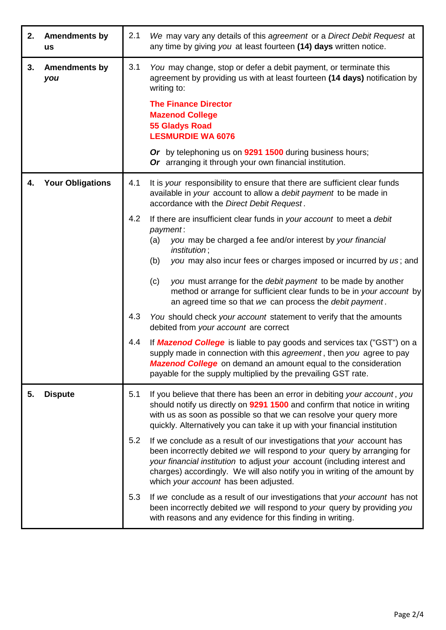| 2. | <b>Amendments by</b><br><b>us</b> | 2.1                      | We may vary any details of this agreement or a Direct Debit Request at<br>any time by giving you at least fourteen (14) days written notice.                                                                                                                                                                                                                                                                                                                                                                                                                                                                                                                                                                                                                                                                                                                                                                                                                                                                                                                                            |
|----|-----------------------------------|--------------------------|-----------------------------------------------------------------------------------------------------------------------------------------------------------------------------------------------------------------------------------------------------------------------------------------------------------------------------------------------------------------------------------------------------------------------------------------------------------------------------------------------------------------------------------------------------------------------------------------------------------------------------------------------------------------------------------------------------------------------------------------------------------------------------------------------------------------------------------------------------------------------------------------------------------------------------------------------------------------------------------------------------------------------------------------------------------------------------------------|
| 3. | <b>Amendments by</b><br>you       | 3.1                      | You may change, stop or defer a debit payment, or terminate this<br>agreement by providing us with at least fourteen (14 days) notification by<br>writing to:<br><b>The Finance Director</b><br><b>Mazenod College</b><br><b>55 Gladys Road</b><br><b>LESMURDIE WA 6076</b><br>Or by telephoning us on 9291 1500 during business hours;<br>Or arranging it through your own financial institution.                                                                                                                                                                                                                                                                                                                                                                                                                                                                                                                                                                                                                                                                                      |
| 4. | <b>Your Obligations</b>           | 4.1<br>4.2<br>4.3<br>4.4 | It is your responsibility to ensure that there are sufficient clear funds<br>available in your account to allow a debit payment to be made in<br>accordance with the Direct Debit Request.<br>If there are insufficient clear funds in your account to meet a debit<br>payment:<br>you may be charged a fee and/or interest by your financial<br>(a)<br><i>institution</i> ;<br>you may also incur fees or charges imposed or incurred by us; and<br>(b)<br>you must arrange for the debit payment to be made by another<br>(c)<br>method or arrange for sufficient clear funds to be in your account by<br>an agreed time so that we can process the debit payment.<br>You should check your account statement to verify that the amounts<br>debited from your account are correct<br>If <b>Mazenod College</b> is liable to pay goods and services tax ("GST") on a<br>supply made in connection with this agreement, then you agree to pay<br><b>Mazenod College</b> on demand an amount equal to the consideration<br>payable for the supply multiplied by the prevailing GST rate. |
| 5. | <b>Dispute</b>                    | 5.1<br>5.2<br>5.3        | If you believe that there has been an error in debiting your account, you<br>should notify us directly on 9291 1500 and confirm that notice in writing<br>with us as soon as possible so that we can resolve your query more<br>quickly. Alternatively you can take it up with your financial institution<br>If we conclude as a result of our investigations that your account has<br>been incorrectly debited we will respond to your query by arranging for<br>your financial institution to adjust your account (including interest and<br>charges) accordingly. We will also notify you in writing of the amount by<br>which your account has been adjusted.<br>If we conclude as a result of our investigations that your account has not<br>been incorrectly debited we will respond to your query by providing you<br>with reasons and any evidence for this finding in writing.                                                                                                                                                                                                |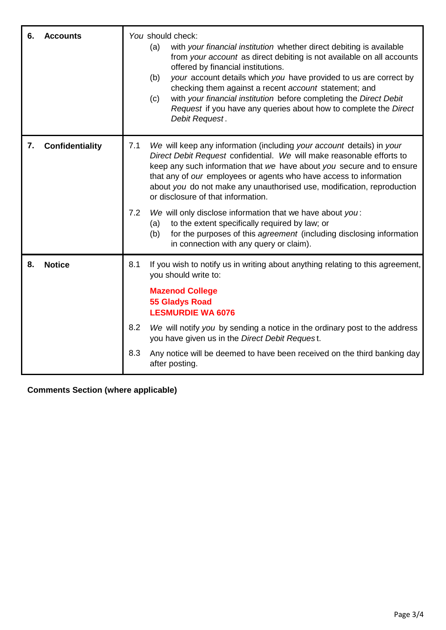| 6. | <b>Accounts</b>        | You should check:<br>with your financial institution whether direct debiting is available<br>(a)<br>from your account as direct debiting is not available on all accounts<br>offered by financial institutions.<br>your account details which you have provided to us are correct by<br>(b)<br>checking them against a recent account statement; and<br>with your financial institution before completing the Direct Debit<br>(c)<br>Request if you have any queries about how to complete the Direct<br>Debit Request.                                                                                                                                                     |
|----|------------------------|-----------------------------------------------------------------------------------------------------------------------------------------------------------------------------------------------------------------------------------------------------------------------------------------------------------------------------------------------------------------------------------------------------------------------------------------------------------------------------------------------------------------------------------------------------------------------------------------------------------------------------------------------------------------------------|
| 7. | <b>Confidentiality</b> | 7.1<br>We will keep any information (including your account details) in your<br>Direct Debit Request confidential. We will make reasonable efforts to<br>keep any such information that we have about you secure and to ensure<br>that any of our employees or agents who have access to information<br>about you do not make any unauthorised use, modification, reproduction<br>or disclosure of that information.<br>7.2<br>We will only disclose information that we have about you:<br>to the extent specifically required by law; or<br>(a)<br>for the purposes of this agreement (including disclosing information<br>(b)<br>in connection with any query or claim). |
| 8. | <b>Notice</b>          | 8.1<br>If you wish to notify us in writing about anything relating to this agreement,<br>you should write to:<br><b>Mazenod College</b><br><b>55 Gladys Road</b><br><b>LESMURDIE WA 6076</b><br>8.2<br>We will notify you by sending a notice in the ordinary post to the address<br>you have given us in the Direct Debit Request.<br>8.3<br>Any notice will be deemed to have been received on the third banking day<br>after posting.                                                                                                                                                                                                                                    |

**Comments Section (where applicable)**